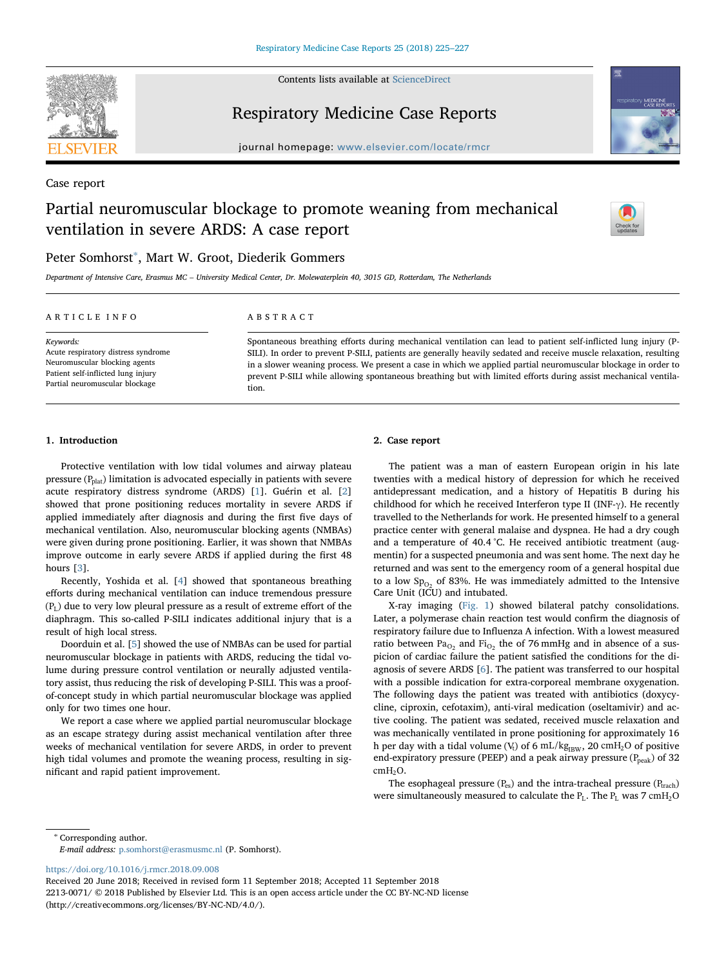

Contents lists available at [ScienceDirect](http://www.sciencedirect.com/science/journal/22130071)

Respiratory Medicine Case Reports





journal homepage: [www.elsevier.com/locate/rmcr](https://www.elsevier.com/locate/rmcr)

Case report

# Partial neuromuscular blockage to promote weaning from mechanical ventilation in severe ARDS: A case report



# Peter Somhorst[∗](#page-0-0) , Mart W. Groot, Diederik Gommers

Department of Intensive Care, Erasmus MC – University Medical Center, Dr. Molewaterplein 40, 3015 GD, Rotterdam, The Netherlands

| ABSTRACT |
|----------|
|          |

Keywords: Acute respiratory distress syndrome Neuromuscular blocking agents Patient self-inflicted lung injury Partial neuromuscular blockage

Spontaneous breathing efforts during mechanical ventilation can lead to patient self-inflicted lung injury (P-SILI). In order to prevent P-SILI, patients are generally heavily sedated and receive muscle relaxation, resulting in a slower weaning process. We present a case in which we applied partial neuromuscular blockage in order to prevent P-SILI while allowing spontaneous breathing but with limited efforts during assist mechanical ventilation.

## 1. Introduction

Protective ventilation with low tidal volumes and airway plateau pressure  $(P_{\text{plat}})$  limitation is advocated especially in patients with severe acute respiratory distress syndrome (ARDS) [\[1\]](#page-2-0). Guérin et al. [[2](#page-2-1)] showed that prone positioning reduces mortality in severe ARDS if applied immediately after diagnosis and during the first five days of mechanical ventilation. Also, neuromuscular blocking agents (NMBAs) were given during prone positioning. Earlier, it was shown that NMBAs improve outcome in early severe ARDS if applied during the first 48 hours [\[3\]](#page-2-2).

Recently, Yoshida et al. [[4](#page-2-3)] showed that spontaneous breathing efforts during mechanical ventilation can induce tremendous pressure  $(P_L)$  due to very low pleural pressure as a result of extreme effort of the diaphragm. This so-called P-SILI indicates additional injury that is a result of high local stress.

Doorduin et al. [\[5\]](#page-2-4) showed the use of NMBAs can be used for partial neuromuscular blockage in patients with ARDS, reducing the tidal volume during pressure control ventilation or neurally adjusted ventilatory assist, thus reducing the risk of developing P-SILI. This was a proofof-concept study in which partial neuromuscular blockage was applied only for two times one hour.

We report a case where we applied partial neuromuscular blockage as an escape strategy during assist mechanical ventilation after three weeks of mechanical ventilation for severe ARDS, in order to prevent high tidal volumes and promote the weaning process, resulting in significant and rapid patient improvement.

# 2. Case report

The patient was a man of eastern European origin in his late twenties with a medical history of depression for which he received antidepressant medication, and a history of Hepatitis B during his childhood for which he received Interferon type II (INF-γ). He recently travelled to the Netherlands for work. He presented himself to a general practice center with general malaise and dyspnea. He had a dry cough and a temperature of 40.4 °C. He received antibiotic treatment (augmentin) for a suspected pneumonia and was sent home. The next day he returned and was sent to the emergency room of a general hospital due to a low  $Sp_{02}$  of 83%. He was immediately admitted to the Intensive Care Unit (ICU) and intubated.

X-ray imaging ([Fig. 1](#page-1-0)) showed bilateral patchy consolidations. Later, a polymerase chain reaction test would confirm the diagnosis of respiratory failure due to Influenza A infection. With a lowest measured ratio between  $Pa_{O_2}$  and  $Fi_{O_2}$  the of 76 mmHg and in absence of a suspicion of cardiac failure the patient satisfied the conditions for the diagnosis of severe ARDS [\[6\]](#page-2-5). The patient was transferred to our hospital with a possible indication for extra-corporeal membrane oxygenation. The following days the patient was treated with antibiotics (doxycycline, ciproxin, cefotaxim), anti-viral medication (oseltamivir) and active cooling. The patient was sedated, received muscle relaxation and was mechanically ventilated in prone positioning for approximately 16 h per day with a tidal volume ( $V_t$ ) of 6 mL/kg<sub>IBW</sub>, 20 cmH<sub>2</sub>O of positive end-expiratory pressure (PEEP) and a peak airway pressure  $(P_{\text{peak}})$  of 32 cmH<sub>2</sub>O.

The esophageal pressure  $(P_{es})$  and the intra-tracheal pressure  $(P_{track})$ were simultaneously measured to calculate the  $P_L$ . The  $P_L$  was 7 cmH<sub>2</sub>O

<span id="page-0-0"></span><sup>∗</sup> Corresponding author.

E-mail address: [p.somhorst@erasmusmc.nl](mailto:p.somhorst@erasmusmc.nl) (P. Somhorst).

<https://doi.org/10.1016/j.rmcr.2018.09.008>

Received 20 June 2018; Received in revised form 11 September 2018; Accepted 11 September 2018 2213-0071/ © 2018 Published by Elsevier Ltd. This is an open access article under the CC BY-NC-ND license (http://creativecommons.org/licenses/BY-NC-ND/4.0/).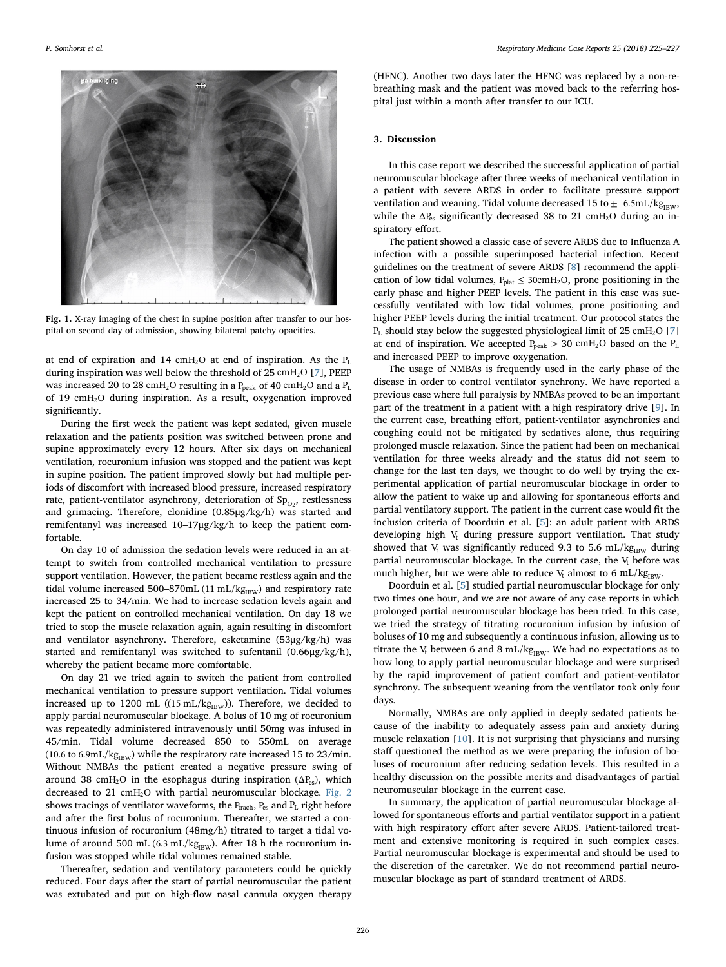<span id="page-1-0"></span>

Fig. 1. X-ray imaging of the chest in supine position after transfer to our hospital on second day of admission, showing bilateral patchy opacities.

at end of expiration and 14 cmH<sub>2</sub>O at end of inspiration. As the  $P_L$ during inspiration was well below the threshold of 25 cmH<sub>2</sub>O [[7](#page-2-6)], PEEP was increased 20 to 28 cmH<sub>2</sub>O resulting in a P<sub>peak</sub> of 40 cmH<sub>2</sub>O and a P<sub>L</sub> of 19 cmH2O during inspiration. As a result, oxygenation improved significantly.

During the first week the patient was kept sedated, given muscle relaxation and the patients position was switched between prone and supine approximately every 12 hours. After six days on mechanical ventilation, rocuronium infusion was stopped and the patient was kept in supine position. The patient improved slowly but had multiple periods of discomfort with increased blood pressure, increased respiratory rate, patient-ventilator asynchrony, deterioration of  $Sp_{O_2}$ , restlessness and grimacing. Therefore, clonidine (0.85μg/kg/h) was started and remifentanyl was increased 10–17μg/kg/h to keep the patient comfortable.

On day 10 of admission the sedation levels were reduced in an attempt to switch from controlled mechanical ventilation to pressure support ventilation. However, the patient became restless again and the tidal volume increased 500-870mL  $(11 \text{ mL/kg}_{\text{BBW}})$  and respiratory rate increased 25 to 34/min. We had to increase sedation levels again and kept the patient on controlled mechanical ventilation. On day 18 we tried to stop the muscle relaxation again, again resulting in discomfort and ventilator asynchrony. Therefore, esketamine (53μg/kg/h) was started and remifentanyl was switched to sufentanil (0.66μg/kg/h), whereby the patient became more comfortable.

On day 21 we tried again to switch the patient from controlled mechanical ventilation to pressure support ventilation. Tidal volumes increased up to 1200 mL ( $(15 \text{ mL/kg}_{\text{IBW}})$ ). Therefore, we decided to apply partial neuromuscular blockage. A bolus of 10 mg of rocuronium was repeatedly administered intravenously until 50mg was infused in 45/min. Tidal volume decreased 850 to 550mL on average (10.6 to 6.9mL/k $g_{IBW}$ ) while the respiratory rate increased 15 to 23/min. Without NMBAs the patient created a negative pressure swing of around 38 cmH<sub>2</sub>O in the esophagus during inspiration ( $\Delta P_{\text{es}}$ ), which decreased to 21 cmH<sub>2</sub>O with partial neuromuscular blockage. [Fig. 2](#page-2-7) shows tracings of ventilator waveforms, the  $P_{\text{track}}$ ,  $P_{\text{es}}$  and  $P_L$  right before and after the first bolus of rocuronium. Thereafter, we started a continuous infusion of rocuronium (48mg/h) titrated to target a tidal volume of around 500 mL (6.3 mL/kg $_{\rm IBW}$ ). After 18 h the rocuronium infusion was stopped while tidal volumes remained stable.

Thereafter, sedation and ventilatory parameters could be quickly reduced. Four days after the start of partial neuromuscular the patient was extubated and put on high-flow nasal cannula oxygen therapy

(HFNC). Another two days later the HFNC was replaced by a non-rebreathing mask and the patient was moved back to the referring hospital just within a month after transfer to our ICU.

#### 3. Discussion

In this case report we described the successful application of partial neuromuscular blockage after three weeks of mechanical ventilation in a patient with severe ARDS in order to facilitate pressure support ventilation and weaning. Tidal volume decreased 15 to  $\pm$  6.5mL/kg<sub>IBW</sub>, while the  $\Delta P_{\rm es}$  significantly decreased 38 to 21 cmH<sub>2</sub>O during an inspiratory effort.

The patient showed a classic case of severe ARDS due to Influenza A infection with a possible superimposed bacterial infection. Recent guidelines on the treatment of severe ARDS [[8](#page-2-8)] recommend the application of low tidal volumes,  $P_{\text{plat}} \leq 30 \text{cm} H_2 \text{O}$ , prone positioning in the early phase and higher PEEP levels. The patient in this case was successfully ventilated with low tidal volumes, prone positioning and higher PEEP levels during the initial treatment. Our protocol states the  $P_L$  should stay below the suggested physiological limit of 25 cmH<sub>2</sub>O [[7](#page-2-6)] at end of inspiration. We accepted  $P_{peak} > 30$  cmH<sub>2</sub>O based on the  $P_L$ and increased PEEP to improve oxygenation.

The usage of NMBAs is frequently used in the early phase of the disease in order to control ventilator synchrony. We have reported a previous case where full paralysis by NMBAs proved to be an important part of the treatment in a patient with a high respiratory drive [[9](#page-2-9)]. In the current case, breathing effort, patient-ventilator asynchronies and coughing could not be mitigated by sedatives alone, thus requiring prolonged muscle relaxation. Since the patient had been on mechanical ventilation for three weeks already and the status did not seem to change for the last ten days, we thought to do well by trying the experimental application of partial neuromuscular blockage in order to allow the patient to wake up and allowing for spontaneous efforts and partial ventilatory support. The patient in the current case would fit the inclusion criteria of Doorduin et al. [\[5\]](#page-2-4): an adult patient with ARDS developing high  $V_t$  during pressure support ventilation. That study showed that V<sub>t</sub> was significantly reduced 9.3 to 5.6 mL/kg<sub>IBW</sub> during partial neuromuscular blockage. In the current case, the  $V_t$  before was much higher, but we were able to reduce  $V_t$  almost to 6 mL/kg<sub>IBW</sub>.

Doorduin et al. [[5](#page-2-4)] studied partial neuromuscular blockage for only two times one hour, and we are not aware of any case reports in which prolonged partial neuromuscular blockage has been tried. In this case, we tried the strategy of titrating rocuronium infusion by infusion of boluses of 10 mg and subsequently a continuous infusion, allowing us to titrate the V<sub>t</sub> between 6 and 8 mL/kg<sub>IBW</sub>. We had no expectations as to how long to apply partial neuromuscular blockage and were surprised by the rapid improvement of patient comfort and patient-ventilator synchrony. The subsequent weaning from the ventilator took only four days.

Normally, NMBAs are only applied in deeply sedated patients because of the inability to adequately assess pain and anxiety during muscle relaxation [\[10\]](#page-2-10). It is not surprising that physicians and nursing staff questioned the method as we were preparing the infusion of boluses of rocuronium after reducing sedation levels. This resulted in a healthy discussion on the possible merits and disadvantages of partial neuromuscular blockage in the current case.

In summary, the application of partial neuromuscular blockage allowed for spontaneous efforts and partial ventilator support in a patient with high respiratory effort after severe ARDS. Patient-tailored treatment and extensive monitoring is required in such complex cases. Partial neuromuscular blockage is experimental and should be used to the discretion of the caretaker. We do not recommend partial neuromuscular blockage as part of standard treatment of ARDS.